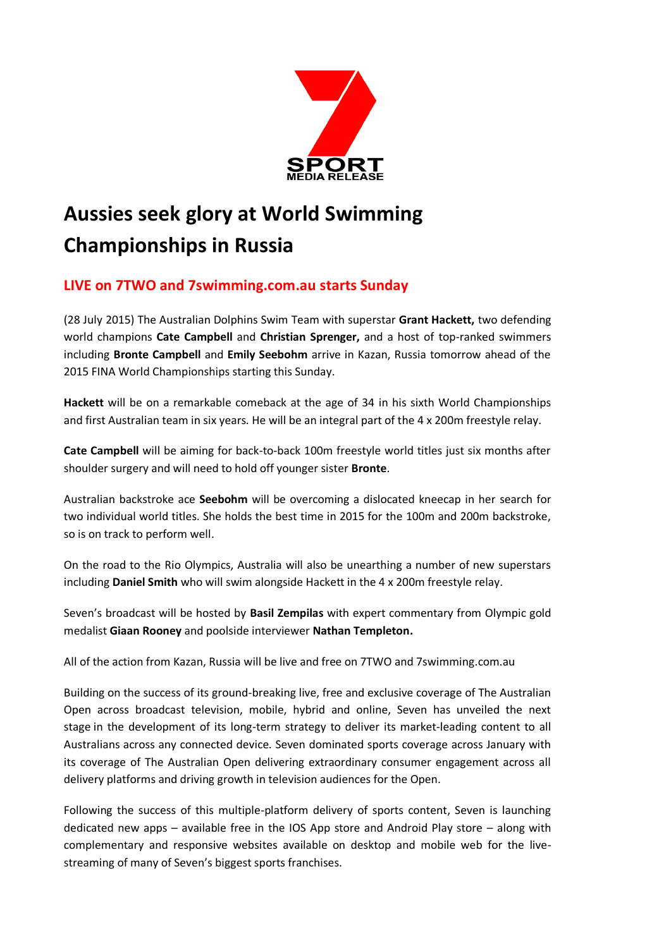

# **Aussies seek glory at World Swimming Championships in Russia**

# **LIVE on 7TWO and 7swimming.com.au starts Sunday**

(28 July 2015) The Australian Dolphins Swim Team with superstar **Grant Hackett,** two defending world champions **Cate Campbell** and **Christian Sprenger,** and a host of top-ranked swimmers including **Bronte Campbell** and **Emily Seebohm** arrive in Kazan, Russia tomorrow ahead of the 2015 FINA World Championships starting this Sunday.

**Hackett** will be on a remarkable comeback at the age of 34 in his sixth World Championships and first Australian team in six years. He will be an integral part of the 4 x 200m freestyle relay.

**Cate Campbell** will be aiming for back-to-back 100m freestyle world titles just six months after shoulder surgery and will need to hold off younger sister **Bronte**.

Australian backstroke ace **Seebohm** will be overcoming a dislocated kneecap in her search for two individual world titles. She holds the best time in 2015 for the 100m and 200m backstroke, so is on track to perform well.

On the road to the Rio Olympics, Australia will also be unearthing a number of new superstars including **Daniel Smith** who will swim alongside Hackett in the 4 x 200m freestyle relay.

Seven's broadcast will be hosted by **Basil Zempilas** with expert commentary from Olympic gold medalist **Giaan Rooney** and poolside interviewer **Nathan Templeton.**

All of the action from Kazan, Russia will be live and free on 7TWO and 7swimming.com.au

Building on the success of its ground-breaking live, free and exclusive coverage of The Australian Open across broadcast television, mobile, hybrid and online, Seven has unveiled the next stage in the development of its long-term strategy to deliver its market-leading content to all Australians across any connected device. Seven dominated sports coverage across January with its coverage of The Australian Open delivering extraordinary consumer engagement across all delivery platforms and driving growth in television audiences for the Open.

Following the success of this multiple-platform delivery of sports content, Seven is launching dedicated new apps – available free in the IOS App store and Android Play store – along with complementary and responsive websites available on desktop and mobile web for the livestreaming of many of Seven's biggest sports franchises.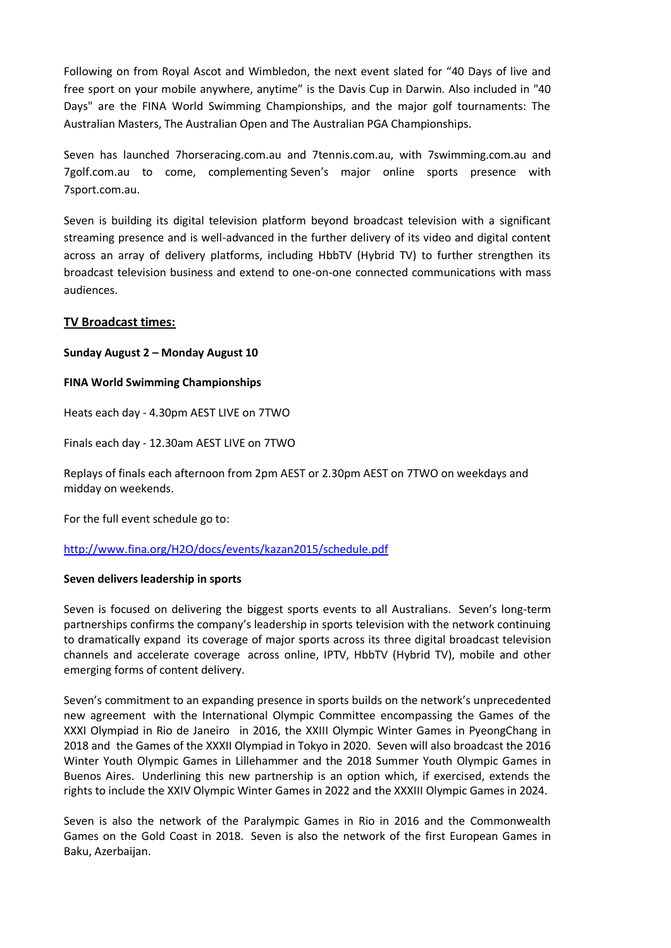Following on from Royal Ascot and Wimbledon, the next event slated for "40 Days of live and free sport on your mobile anywhere, anytime" is the Davis Cup in Darwin. Also included in "40 Days" are the FINA World Swimming Championships, and the major golf tournaments: The Australian Masters, The Australian Open and The Australian PGA Championships.

Seven has launched 7horseracing.com.au and 7tennis.com.au, with 7swimming.com.au and 7golf.com.au to come, complementing Seven's major online sports presence with 7sport.com.au.

Seven is building its digital television platform beyond broadcast television with a significant streaming presence and is well-advanced in the further delivery of its video and digital content across an array of delivery platforms, including HbbTV (Hybrid TV) to further strengthen its broadcast television business and extend to one-on-one connected communications with mass audiences.

## **TV Broadcast times:**

#### **Sunday August 2 – Monday August 10**

#### **FINA World Swimming Championships**

Heats each day - 4.30pm AEST LIVE on 7TWO

Finals each day - 12.30am AEST LIVE on 7TWO

Replays of finals each afternoon from 2pm AEST or 2.30pm AEST on 7TWO on weekdays and midday on weekends.

For the full event schedule go to:

#### <http://www.fina.org/H2O/docs/events/kazan2015/schedule.pdf>

#### **Seven delivers leadership in sports**

Seven is focused on delivering the biggest sports events to all Australians. Seven's long-term partnerships confirms the company's leadership in sports television with the network continuing to dramatically expand its coverage of major sports across its three digital broadcast television channels and accelerate coverage across online, IPTV, HbbTV (Hybrid TV), mobile and other emerging forms of content delivery.

Seven's commitment to an expanding presence in sports builds on the network's unprecedented new agreement with the International Olympic Committee encompassing the Games of the XXXI Olympiad in Rio de Janeiro in 2016, the XXIII Olympic Winter Games in PyeongChang in 2018 and the Games of the XXXII Olympiad in Tokyo in 2020. Seven will also broadcast the 2016 Winter Youth Olympic Games in Lillehammer and the 2018 Summer Youth Olympic Games in Buenos Aires. Underlining this new partnership is an option which, if exercised, extends the rights to include the XXIV Olympic Winter Games in 2022 and the XXXIII Olympic Games in 2024.

Seven is also the network of the Paralympic Games in Rio in 2016 and the Commonwealth Games on the Gold Coast in 2018. Seven is also the network of the first European Games in Baku, Azerbaijan.